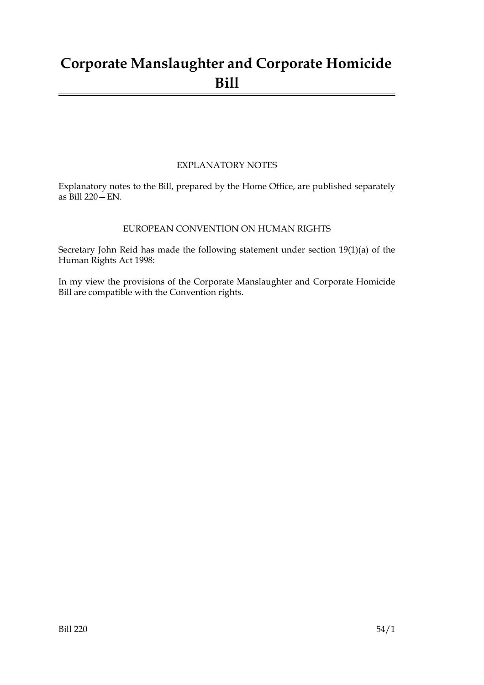## **Corporate Manslaughter and Corporate Homicide Bill**

#### EXPLANATORY NOTES

Explanatory notes to the Bill, prepared by the Home Office, are published separately as Bill 220—EN.

#### EUROPEAN CONVENTION ON HUMAN RIGHTS

Secretary John Reid has made the following statement under section 19(1)(a) of the Human Rights Act 1998:

In my view the provisions of the Corporate Manslaughter and Corporate Homicide Bill are compatible with the Convention rights.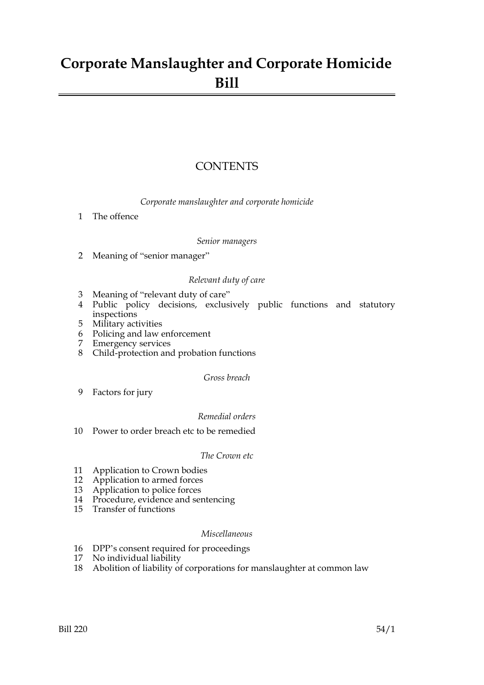## **Corporate Manslaughter and Corporate Homicide Bill**

#### **CONTENTS**

*Corporate manslaughter and corporate homicide*

1 The offence

#### *Senior managers*

2 Meaning of "senior manager"

#### *Relevant duty of care*

- 3 Meaning of "relevant duty of care"
- 4 Public policy decisions, exclusively public functions and statutory inspections
- 5 Military activities
- 6 Policing and law enforcement
- 7 Emergency services
- 8 Child-protection and probation functions

#### *Gross breach*

9 Factors for jury

#### *Remedial orders*

10 Power to order breach etc to be remedied

#### *The Crown etc*

- 11 Application to Crown bodies
- 12 Application to armed forces
- 13 Application to police forces
- 14 Procedure, evidence and sentencing
- 15 Transfer of functions

#### *Miscellaneous*

- 16 DPP's consent required for proceedings
- 17 No individual liability
- 18 Abolition of liability of corporations for manslaughter at common law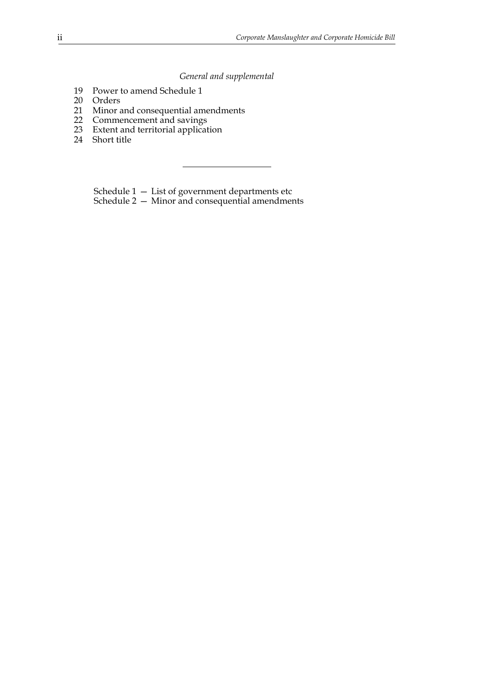#### *General and supplemental*

- 19 Power to amend Schedule 1
- 20 Orders
- 21 Minor and consequential amendments
- 22 Commencement and savings
- 23 Extent and territorial application
- 24 Short title

Schedule 1 — List of government departments etc

Schedule 2 — Minor and consequential amendments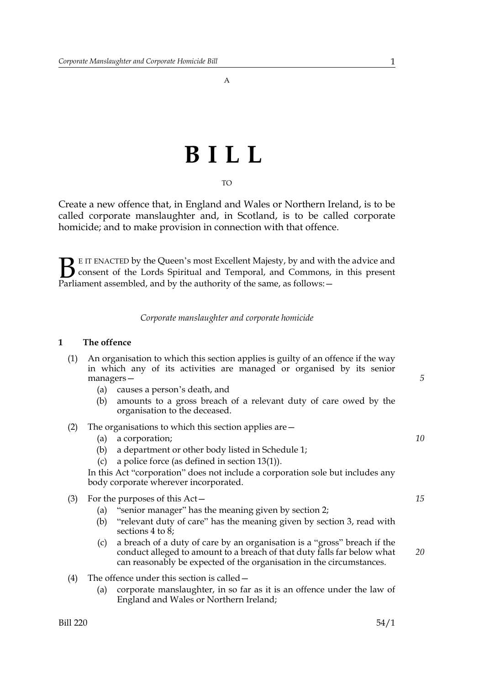A

# **BILL**

TO

Create a new offence that, in England and Wales or Northern Ireland, is to be called corporate manslaughter and, in Scotland, is to be called corporate homicide; and to make provision in connection with that offence.

E IT ENACTED by the Queen's most Excellent Majesty, by and with the advice and consent of the Lords Spiritual and Temporal, and Commons, in this present **B** E IT ENACTED by the Queen's most Excellent Majesty, by and with consent of the Lords Spiritual and Temporal, and Commons, Parliament assembled, and by the authority of the same, as follows:  $-$ 

#### *Corporate manslaughter and corporate homicide*

#### **1 The offence**

- (1) An organisation to which this section applies is guilty of an offence if the way in which any of its activities are managed or organised by its senior managers—
	- (a) causes a person's death, and
	- (b) amounts to a gross breach of a relevant duty of care owed by the organisation to the deceased.

#### (2) The organisations to which this section applies are—

- (a) a corporation;
- (b) a department or other body listed in Schedule 1;
- (c) a police force (as defined in section 13(1)).

In this Act "corporation" does not include a corporation sole but includes any body corporate wherever incorporated.

- (3) For the purposes of this Act—
	- (a) "senior manager" has the meaning given by section 2;
	- (b) "relevant duty of care" has the meaning given by section 3, read with sections 4 to 8;
	- (c) a breach of a duty of care by an organisation is a "gross" breach if the conduct alleged to amount to a breach of that duty falls far below what can reasonably be expected of the organisation in the circumstances.
- (4) The offence under this section is called—
	- (a) corporate manslaughter, in so far as it is an offence under the law of England and Wales or Northern Ireland;

*15*

*20*

*10*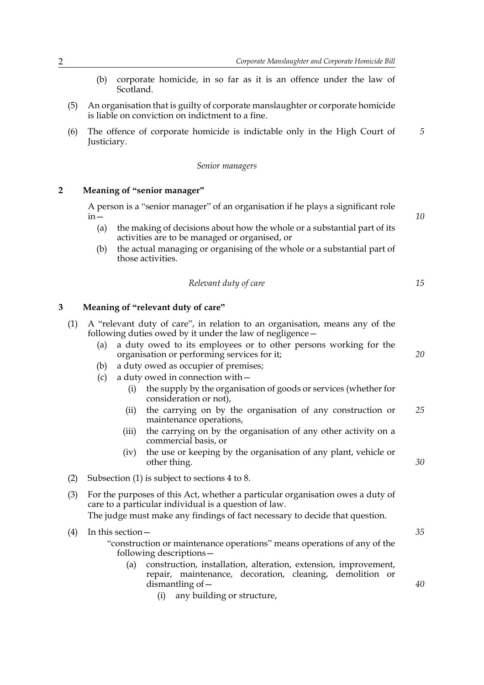- (b) corporate homicide, in so far as it is an offence under the law of Scotland.
- (5) An organisation that is guilty of corporate manslaughter or corporate homicide is liable on conviction on indictment to a fine.
- (6) The offence of corporate homicide is indictable only in the High Court of Justiciary. *5*

#### *Senior managers*

#### **2 Meaning of "senior manager"**

A person is a "senior manager" of an organisation if he plays a significant role in—

- (a) the making of decisions about how the whole or a substantial part of its activities are to be managed or organised, or
- (b) the actual managing or organising of the whole or a substantial part of those activities.

| Relevant duty of care |  |
|-----------------------|--|
|-----------------------|--|

#### **3 Meaning of "relevant duty of care"**

- (1) A "relevant duty of care", in relation to an organisation, means any of the following duties owed by it under the law of negligence—
	- (a) a duty owed to its employees or to other persons working for the organisation or performing services for it;
	- (b) a duty owed as occupier of premises;
	- (c) a duty owed in connection with—
		- (i) the supply by the organisation of goods or services (whether for consideration or not),
		- (ii) the carrying on by the organisation of any construction or maintenance operations, *25*
		- (iii) the carrying on by the organisation of any other activity on a commercial basis, or
		- (iv) the use or keeping by the organisation of any plant, vehicle or other thing.
- (2) Subsection (1) is subject to sections 4 to 8.
- (3) For the purposes of this Act, whether a particular organisation owes a duty of care to a particular individual is a question of law. The judge must make any findings of fact necessary to decide that question.

(4) In this section— "construction or maintenance operations" means operations of any of the following descriptions—

- (a) construction, installation, alteration, extension, improvement, repair, maintenance, decoration, cleaning, demolition or dismantling of—
	- (i) any building or structure,

*35*

*40*

*30*

*10*

*15*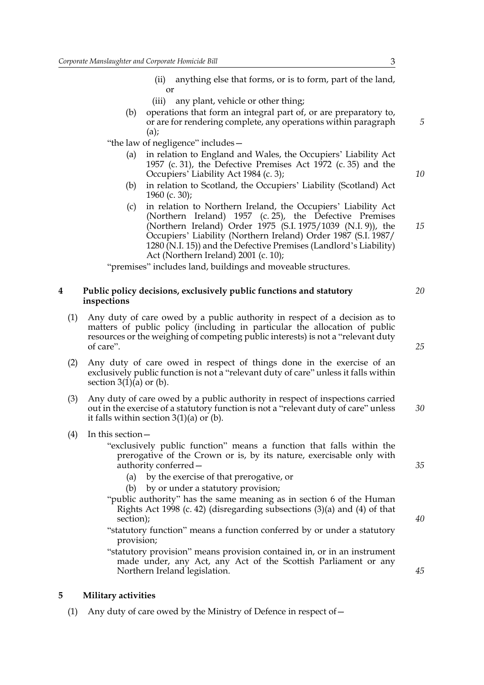- (ii) anything else that forms, or is to form, part of the land, or
- (iii) any plant, vehicle or other thing;
- (b) operations that form an integral part of, or are preparatory to, or are for rendering complete, any operations within paragraph (a);

"the law of negligence" includes—

- (a) in relation to England and Wales, the Occupiers' Liability Act 1957 (c. 31), the Defective Premises Act 1972 (c. 35) and the Occupiers' Liability Act 1984 (c. 3);
- (b) in relation to Scotland, the Occupiers' Liability (Scotland) Act 1960 (c. 30);
- (c) in relation to Northern Ireland, the Occupiers' Liability Act (Northern Ireland) 1957 (c. 25), the Defective Premises (Northern Ireland) Order 1975 (S.I. 1975/1039 (N.I. 9)), the Occupiers' Liability (Northern Ireland) Order 1987 (S.I. 1987/ 1280 (N.I. 15)) and the Defective Premises (Landlord's Liability) Act (Northern Ireland) 2001 (c. 10);

"premises" includes land, buildings and moveable structures.

#### **4 Public policy decisions, exclusively public functions and statutory inspections**

- (1) Any duty of care owed by a public authority in respect of a decision as to matters of public policy (including in particular the allocation of public resources or the weighing of competing public interests) is not a "relevant duty of care".
- (2) Any duty of care owed in respect of things done in the exercise of an exclusively public function is not a "relevant duty of care" unless it falls within section  $3(1)(a)$  or (b).
- (3) Any duty of care owed by a public authority in respect of inspections carried out in the exercise of a statutory function is not a "relevant duty of care" unless it falls within section  $3(1)(a)$  or (b). *30*
- (4) In this section—

"exclusively public function" means a function that falls within the prerogative of the Crown or is, by its nature, exercisable only with authority conferred—

- (a) by the exercise of that prerogative, or
- (b) by or under a statutory provision;
- "public authority" has the same meaning as in section 6 of the Human Rights Act 1998 (c. 42) (disregarding subsections (3)(a) and (4) of that section);
- "statutory function" means a function conferred by or under a statutory provision;

"statutory provision" means provision contained in, or in an instrument made under, any Act, any Act of the Scottish Parliament or any Northern Ireland legislation.

#### **5 Military activities**

(1) Any duty of care owed by the Ministry of Defence in respect of—

*25*

*20*

*5*

*10*

*15*

*35*

*40*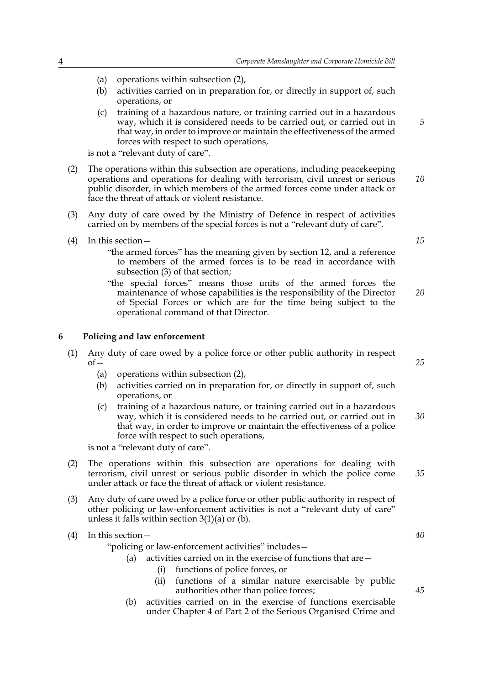- (a) operations within subsection (2),
- (b) activities carried on in preparation for, or directly in support of, such operations, or
- (c) training of a hazardous nature, or training carried out in a hazardous way, which it is considered needs to be carried out, or carried out in that way, in order to improve or maintain the effectiveness of the armed forces with respect to such operations,

is not a "relevant duty of care".

- (2) The operations within this subsection are operations, including peacekeeping operations and operations for dealing with terrorism, civil unrest or serious public disorder, in which members of the armed forces come under attack or face the threat of attack or violent resistance. *10*
- (3) Any duty of care owed by the Ministry of Defence in respect of activities carried on by members of the special forces is not a "relevant duty of care".
- (4) In this section—
	- "the armed forces" has the meaning given by section 12, and a reference to members of the armed forces is to be read in accordance with subsection (3) of that section;
	- "the special forces" means those units of the armed forces the maintenance of whose capabilities is the responsibility of the Director of Special Forces or which are for the time being subject to the operational command of that Director. *20*

#### **6 Policing and law enforcement**

- (1) Any duty of care owed by a police force or other public authority in respect  $of-$ 
	- (a) operations within subsection (2),
	- (b) activities carried on in preparation for, or directly in support of, such operations, or
	- (c) training of a hazardous nature, or training carried out in a hazardous way, which it is considered needs to be carried out, or carried out in that way, in order to improve or maintain the effectiveness of a police force with respect to such operations,

is not a "relevant duty of care".

- (2) The operations within this subsection are operations for dealing with terrorism, civil unrest or serious public disorder in which the police come under attack or face the threat of attack or violent resistance.
- (3) Any duty of care owed by a police force or other public authority in respect of other policing or law-enforcement activities is not a "relevant duty of care" unless it falls within section  $3(1)(a)$  or (b).

(4) In this section—

"policing or law-enforcement activities" includes—

- (a) activities carried on in the exercise of functions that are  $-$ 
	- (i) functions of police forces, or
	- (ii) functions of a similar nature exercisable by public authorities other than police forces;
- (b) activities carried on in the exercise of functions exercisable under Chapter 4 of Part 2 of the Serious Organised Crime and

*15*

*5*

*25*

*30*

*35*

*40*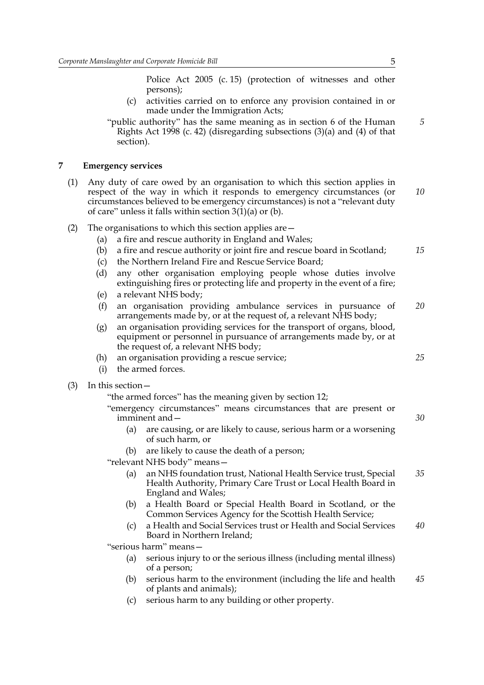Police Act 2005 (c. 15) (protection of witnesses and other persons);

(c) activities carried on to enforce any provision contained in or made under the Immigration Acts;

"public authority" has the same meaning as in section 6 of the Human Rights Act 1998 (c. 42) (disregarding subsections (3)(a) and (4) of that section).

#### **7 Emergency services**

- (1) Any duty of care owed by an organisation to which this section applies in respect of the way in which it responds to emergency circumstances (or circumstances believed to be emergency circumstances) is not a "relevant duty of care" unless it falls within section  $3(1)(a)$  or (b). *10*
- (2) The organisations to which this section applies are—
	- (a) a fire and rescue authority in England and Wales;
	- (b) a fire and rescue authority or joint fire and rescue board in Scotland;
	- (c) the Northern Ireland Fire and Rescue Service Board;
	- (d) any other organisation employing people whose duties involve extinguishing fires or protecting life and property in the event of a fire;
	- (e) a relevant NHS body;
	- (f) an organisation providing ambulance services in pursuance of arrangements made by, or at the request of, a relevant NHS body; *20*
	- (g) an organisation providing services for the transport of organs, blood, equipment or personnel in pursuance of arrangements made by, or at the request of, a relevant NHS body;
	- (h) an organisation providing a rescue service;
	- (i) the armed forces.
- (3) In this section—

"the armed forces" has the meaning given by section 12;

"emergency circumstances" means circumstances that are present or imminent and—

- (a) are causing, or are likely to cause, serious harm or a worsening of such harm, or
- (b) are likely to cause the death of a person;

"relevant NHS body" means—

- (a) an NHS foundation trust, National Health Service trust, Special Health Authority, Primary Care Trust or Local Health Board in England and Wales; *35*
- (b) a Health Board or Special Health Board in Scotland, or the Common Services Agency for the Scottish Health Service;
- (c) a Health and Social Services trust or Health and Social Services Board in Northern Ireland; *40*

"serious harm" means—

- (a) serious injury to or the serious illness (including mental illness) of a person;
- (b) serious harm to the environment (including the life and health of plants and animals); *45*
- (c) serious harm to any building or other property.

*5*

*15*

*25*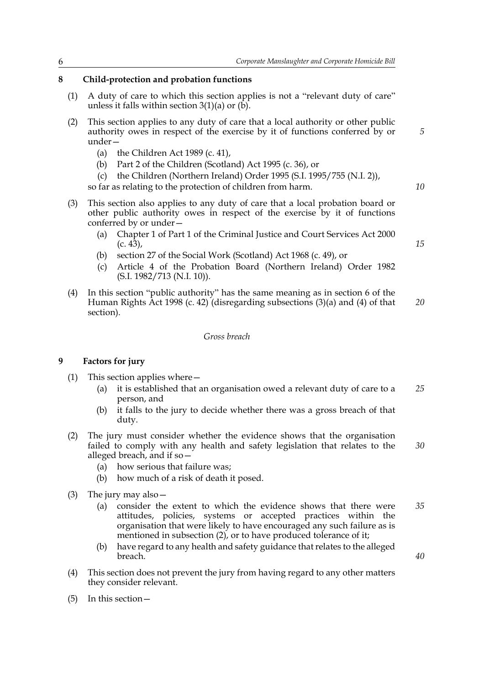#### **8 Child-protection and probation functions**

- (1) A duty of care to which this section applies is not a "relevant duty of care" unless it falls within section  $3(1)(a)$  or  $(b)$ .
- (2) This section applies to any duty of care that a local authority or other public authority owes in respect of the exercise by it of functions conferred by or under—
	- (a) the Children Act 1989 (c. 41),
	- (b) Part 2 of the Children (Scotland) Act 1995 (c. 36), or
	- (c) the Children (Northern Ireland) Order 1995 (S.I. 1995/755 (N.I. 2)),

so far as relating to the protection of children from harm.

- (3) This section also applies to any duty of care that a local probation board or other public authority owes in respect of the exercise by it of functions conferred by or under—
	- (a) Chapter 1 of Part 1 of the Criminal Justice and Court Services Act 2000  $(c. 4\bar{3})$ ,
	- (b) section 27 of the Social Work (Scotland) Act 1968 (c. 49), or
	- (c) Article 4 of the Probation Board (Northern Ireland) Order 1982 (S.I. 1982/713 (N.I. 10)).
- (4) In this section "public authority" has the same meaning as in section 6 of the Human Rights Act 1998 (c. 42) (disregarding subsections (3)(a) and (4) of that section). *20*

#### *Gross breach*

#### **9 Factors for jury**

- (1) This section applies where—
	- (a) it is established that an organisation owed a relevant duty of care to a person, and *25*
	- (b) it falls to the jury to decide whether there was a gross breach of that duty.
- (2) The jury must consider whether the evidence shows that the organisation failed to comply with any health and safety legislation that relates to the alleged breach, and if so— *30*
	- (a) how serious that failure was;
	- (b) how much of a risk of death it posed.
- (3) The jury may also—
	- (a) consider the extent to which the evidence shows that there were attitudes, policies, systems or accepted practices within the organisation that were likely to have encouraged any such failure as is mentioned in subsection (2), or to have produced tolerance of it; *35*
	- (b) have regard to any health and safety guidance that relates to the alleged breach.
- (4) This section does not prevent the jury from having regard to any other matters they consider relevant.
- (5) In this section—

*15*

*40*

*10*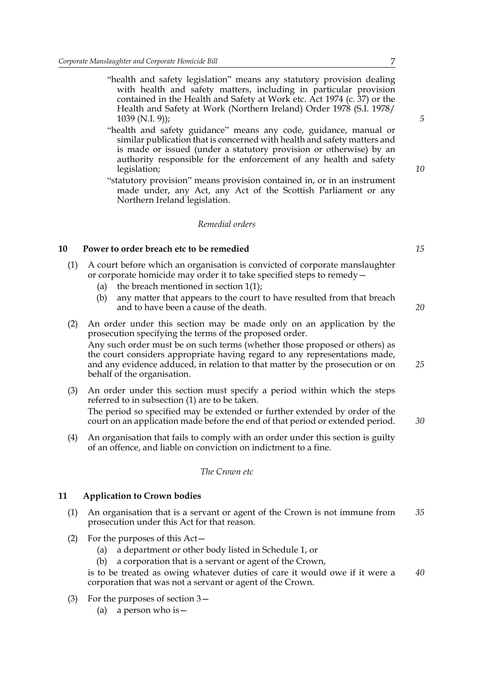- "health and safety legislation" means any statutory provision dealing with health and safety matters, including in particular provision contained in the Health and Safety at Work etc. Act 1974 (c. 37) or the Health and Safety at Work (Northern Ireland) Order 1978 (S.I. 1978/ 1039 (N.I. 9));
- "health and safety guidance" means any code, guidance, manual or similar publication that is concerned with health and safety matters and is made or issued (under a statutory provision or otherwise) by an authority responsible for the enforcement of any health and safety legislation;
- "statutory provision" means provision contained in, or in an instrument made under, any Act, any Act of the Scottish Parliament or any Northern Ireland legislation.

#### *Remedial orders*

#### **10 Power to order breach etc to be remedied**

- (1) A court before which an organisation is convicted of corporate manslaughter or corporate homicide may order it to take specified steps to remedy—
	- (a) the breach mentioned in section  $1(1)$ ;
	- (b) any matter that appears to the court to have resulted from that breach and to have been a cause of the death.
- (2) An order under this section may be made only on an application by the prosecution specifying the terms of the proposed order. Any such order must be on such terms (whether those proposed or others) as the court considers appropriate having regard to any representations made, and any evidence adduced, in relation to that matter by the prosecution or on behalf of the organisation.
- (3) An order under this section must specify a period within which the steps referred to in subsection (1) are to be taken. The period so specified may be extended or further extended by order of the court on an application made before the end of that period or extended period. *30*
- (4) An organisation that fails to comply with an order under this section is guilty of an offence, and liable on conviction on indictment to a fine.

#### *The Crown etc*

#### **11 Application to Crown bodies**

- (1) An organisation that is a servant or agent of the Crown is not immune from prosecution under this Act for that reason. *35*
- (2) For the purposes of this Act—
	- (a) a department or other body listed in Schedule 1, or
	- (b) a corporation that is a servant or agent of the Crown,

is to be treated as owing whatever duties of care it would owe if it were a corporation that was not a servant or agent of the Crown. *40*

- (3) For the purposes of section 3—
	- (a) a person who is  $-$

*15*

*20*

*25*

*5*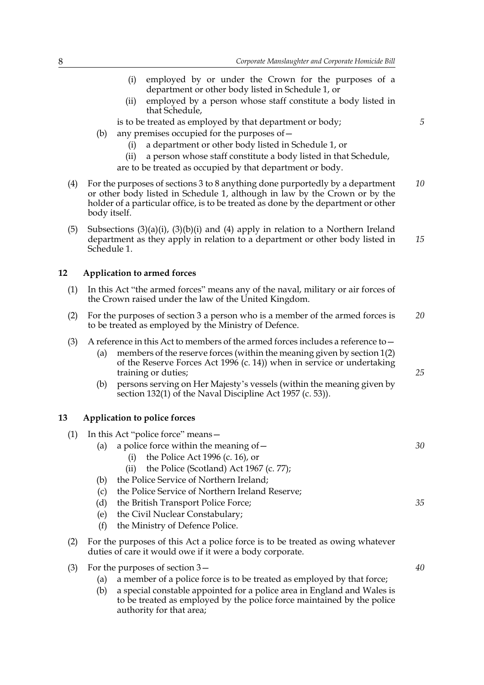- (i) employed by or under the Crown for the purposes of a department or other body listed in Schedule 1, or
- (ii) employed by a person whose staff constitute a body listed in that Schedule,

is to be treated as employed by that department or body;

- (b) any premises occupied for the purposes of  $-$ 
	- (i) a department or other body listed in Schedule 1, or
	- (ii) a person whose staff constitute a body listed in that Schedule,
	- are to be treated as occupied by that department or body.
- (4) For the purposes of sections 3 to 8 anything done purportedly by a department or other body listed in Schedule 1, although in law by the Crown or by the holder of a particular office, is to be treated as done by the department or other body itself. *10*
- (5) Subsections  $(3)(a)(i)$ ,  $(3)(b)(i)$  and  $(4)$  apply in relation to a Northern Ireland department as they apply in relation to a department or other body listed in Schedule 1. *15*

#### **12 Application to armed forces**

- (1) In this Act "the armed forces" means any of the naval, military or air forces of the Crown raised under the law of the United Kingdom.
- (2) For the purposes of section 3 a person who is a member of the armed forces is to be treated as employed by the Ministry of Defence. *20*
- (3) A reference in this Act to members of the armed forces includes a reference to—
	- (a) members of the reserve forces (within the meaning given by section 1(2) of the Reserve Forces Act 1996 (c. 14)) when in service or undertaking training or duties;
	- (b) persons serving on Her Majesty's vessels (within the meaning given by section 132(1) of the Naval Discipline Act 1957 (c. 53)).

#### **13 Application to police forces**

- (1) In this Act "police force" means— (a) a police force within the meaning of  $-$ (i) the Police Act 1996 (c. 16), or (ii) the Police (Scotland) Act 1967 (c. 77); *30*
	- (b) the Police Service of Northern Ireland;
	- (c) the Police Service of Northern Ireland Reserve;
	- (d) the British Transport Police Force;
	- (e) the Civil Nuclear Constabulary;
	- (f) the Ministry of Defence Police.
- (2) For the purposes of this Act a police force is to be treated as owing whatever duties of care it would owe if it were a body corporate.
- (3) For the purposes of section 3—
	- (a) a member of a police force is to be treated as employed by that force;
	- (b) a special constable appointed for a police area in England and Wales is to be treated as employed by the police force maintained by the police authority for that area;

*5*

*25*

*35*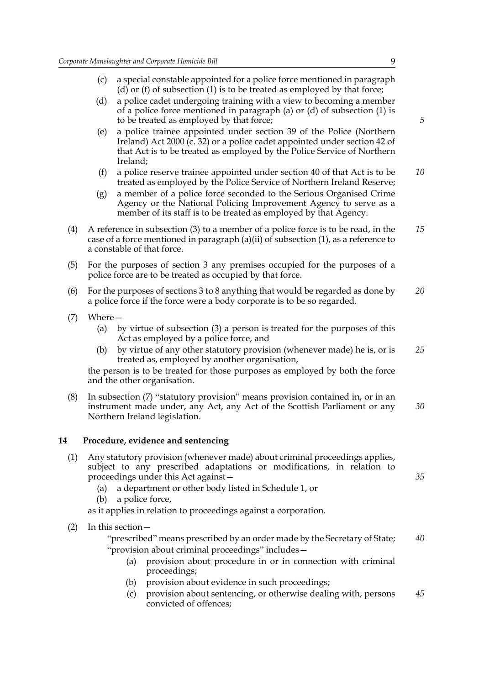- (c) a special constable appointed for a police force mentioned in paragraph (d) or (f) of subsection (1) is to be treated as employed by that force;
- (d) a police cadet undergoing training with a view to becoming a member of a police force mentioned in paragraph (a) or (d) of subsection (1) is to be treated as employed by that force;
- (e) a police trainee appointed under section 39 of the Police (Northern Ireland) Act 2000 (c. 32) or a police cadet appointed under section 42 of that Act is to be treated as employed by the Police Service of Northern Ireland;
- (f) a police reserve trainee appointed under section 40 of that Act is to be treated as employed by the Police Service of Northern Ireland Reserve; *10*
- (g) a member of a police force seconded to the Serious Organised Crime Agency or the National Policing Improvement Agency to serve as a member of its staff is to be treated as employed by that Agency.
- (4) A reference in subsection (3) to a member of a police force is to be read, in the case of a force mentioned in paragraph (a)(ii) of subsection  $(1)$ , as a reference to a constable of that force. *15*
- (5) For the purposes of section 3 any premises occupied for the purposes of a police force are to be treated as occupied by that force.
- (6) For the purposes of sections 3 to 8 anything that would be regarded as done by a police force if the force were a body corporate is to be so regarded. *20*
- (7) Where—
	- (a) by virtue of subsection (3) a person is treated for the purposes of this Act as employed by a police force, and
	- (b) by virtue of any other statutory provision (whenever made) he is, or is treated as, employed by another organisation, *25*

the person is to be treated for those purposes as employed by both the force and the other organisation.

(8) In subsection (7) "statutory provision" means provision contained in, or in an instrument made under, any Act, any Act of the Scottish Parliament or any Northern Ireland legislation. *30*

#### **14 Procedure, evidence and sentencing**

- (1) Any statutory provision (whenever made) about criminal proceedings applies, subject to any prescribed adaptations or modifications, in relation to proceedings under this Act against—
	- (a) a department or other body listed in Schedule 1, or
	- (b) a police force,

as it applies in relation to proceedings against a corporation.

(2) In this section—

"prescribed" means prescribed by an order made by the Secretary of State; "provision about criminal proceedings" includes— *40*

- (a) provision about procedure in or in connection with criminal proceedings;
- (b) provision about evidence in such proceedings;
- (c) provision about sentencing, or otherwise dealing with, persons convicted of offences; *45*

*5*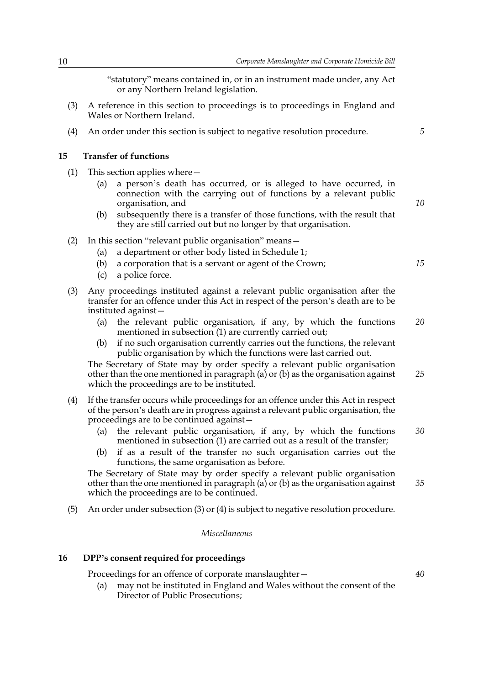"statutory" means contained in, or in an instrument made under, any Act or any Northern Ireland legislation.

- (3) A reference in this section to proceedings is to proceedings in England and Wales or Northern Ireland.
- (4) An order under this section is subject to negative resolution procedure.

#### **15 Transfer of functions**

- (1) This section applies where—
	- (a) a person's death has occurred, or is alleged to have occurred, in connection with the carrying out of functions by a relevant public organisation, and
	- (b) subsequently there is a transfer of those functions, with the result that they are still carried out but no longer by that organisation.
- (2) In this section "relevant public organisation" means—
	- (a) a department or other body listed in Schedule 1;
	- (b) a corporation that is a servant or agent of the Crown;
	- (c) a police force.
- (3) Any proceedings instituted against a relevant public organisation after the transfer for an offence under this Act in respect of the person's death are to be instituted against—
	- (a) the relevant public organisation, if any, by which the functions mentioned in subsection (1) are currently carried out; *20*
	- (b) if no such organisation currently carries out the functions, the relevant public organisation by which the functions were last carried out.

The Secretary of State may by order specify a relevant public organisation other than the one mentioned in paragraph (a) or (b) as the organisation against which the proceedings are to be instituted.

- (4) If the transfer occurs while proceedings for an offence under this Act in respect of the person's death are in progress against a relevant public organisation, the proceedings are to be continued against—
	- (a) the relevant public organisation, if any, by which the functions mentioned in subsection (1) are carried out as a result of the transfer; *30*
	- (b) if as a result of the transfer no such organisation carries out the functions, the same organisation as before.

The Secretary of State may by order specify a relevant public organisation other than the one mentioned in paragraph (a) or (b) as the organisation against which the proceedings are to be continued.

(5) An order under subsection (3) or (4) is subject to negative resolution procedure.

#### *Miscellaneous*

#### **16 DPP's consent required for proceedings**

Proceedings for an offence of corporate manslaughter—

(a) may not be instituted in England and Wales without the consent of the Director of Public Prosecutions;

*10*

*5*

*15*

*25*

*35*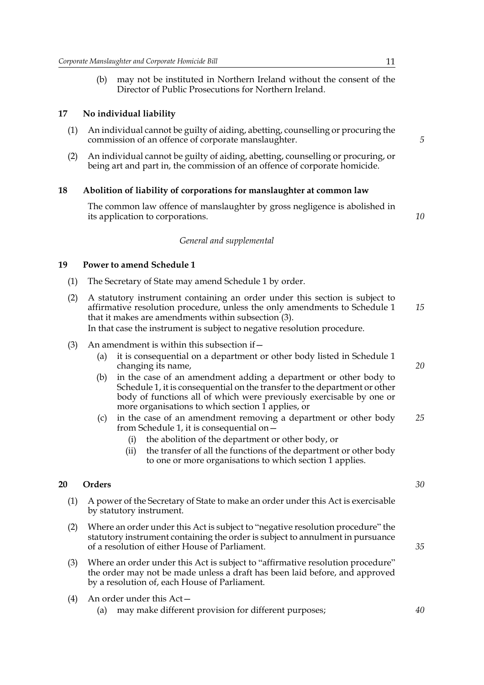(b) may not be instituted in Northern Ireland without the consent of the Director of Public Prosecutions for Northern Ireland.

#### **17 No individual liability**

- (1) An individual cannot be guilty of aiding, abetting, counselling or procuring the commission of an offence of corporate manslaughter.
- (2) An individual cannot be guilty of aiding, abetting, counselling or procuring, or being art and part in, the commission of an offence of corporate homicide.

#### **18 Abolition of liability of corporations for manslaughter at common law**

The common law offence of manslaughter by gross negligence is abolished in its application to corporations.

*General and supplemental*

#### **19 Power to amend Schedule 1**

- (1) The Secretary of State may amend Schedule 1 by order.
- (2) A statutory instrument containing an order under this section is subject to affirmative resolution procedure, unless the only amendments to Schedule 1 that it makes are amendments within subsection (3). In that case the instrument is subject to negative resolution procedure. *15*
- (3) An amendment is within this subsection if  $-$ 
	- (a) it is consequential on a department or other body listed in Schedule 1 changing its name,
	- (b) in the case of an amendment adding a department or other body to Schedule 1, it is consequential on the transfer to the department or other body of functions all of which were previously exercisable by one or more organisations to which section 1 applies, or
	- (c) in the case of an amendment removing a department or other body from Schedule 1, it is consequential on— *25*
		- (i) the abolition of the department or other body, or
		- (ii) the transfer of all the functions of the department or other body to one or more organisations to which section 1 applies.

#### **20 Orders**

- (1) A power of the Secretary of State to make an order under this Act is exercisable by statutory instrument.
- (2) Where an order under this Act is subject to "negative resolution procedure" the statutory instrument containing the order is subject to annulment in pursuance of a resolution of either House of Parliament.
- (3) Where an order under this Act is subject to "affirmative resolution procedure" the order may not be made unless a draft has been laid before, and approved by a resolution of, each House of Parliament.
- (4) An order under this Act—
	- (a) may make different provision for different purposes;

*5*

*10*

*30*

*20*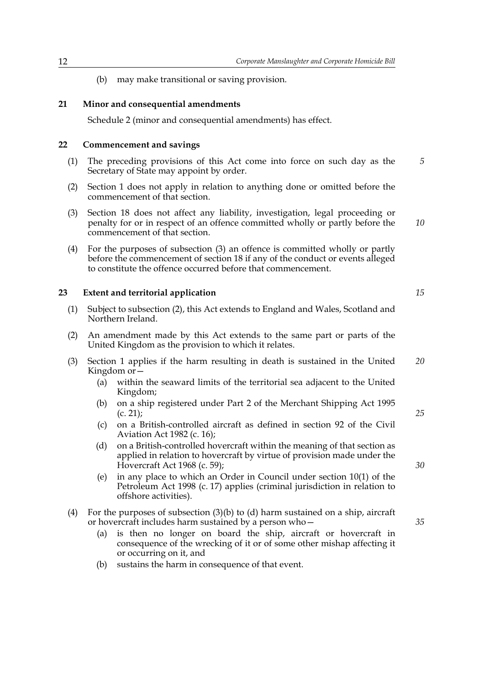(b) may make transitional or saving provision.

#### **21 Minor and consequential amendments**

Schedule 2 (minor and consequential amendments) has effect.

#### **22 Commencement and savings**

- (1) The preceding provisions of this Act come into force on such day as the Secretary of State may appoint by order. *5*
- (2) Section 1 does not apply in relation to anything done or omitted before the commencement of that section.
- (3) Section 18 does not affect any liability, investigation, legal proceeding or penalty for or in respect of an offence committed wholly or partly before the commencement of that section. *10*
- (4) For the purposes of subsection (3) an offence is committed wholly or partly before the commencement of section 18 if any of the conduct or events alleged to constitute the offence occurred before that commencement.

#### **23 Extent and territorial application**

- (1) Subject to subsection (2), this Act extends to England and Wales, Scotland and Northern Ireland.
- (2) An amendment made by this Act extends to the same part or parts of the United Kingdom as the provision to which it relates.
- (3) Section 1 applies if the harm resulting in death is sustained in the United Kingdom or— *20*
	- (a) within the seaward limits of the territorial sea adjacent to the United Kingdom;
	- (b) on a ship registered under Part 2 of the Merchant Shipping Act 1995 (c. 21);
	- (c) on a British-controlled aircraft as defined in section 92 of the Civil Aviation Act 1982 (c. 16);
	- (d) on a British-controlled hovercraft within the meaning of that section as applied in relation to hovercraft by virtue of provision made under the Hovercraft Act 1968 (c. 59);
	- (e) in any place to which an Order in Council under section 10(1) of the Petroleum Act 1998 (c. 17) applies (criminal jurisdiction in relation to offshore activities).
- (4) For the purposes of subsection (3)(b) to (d) harm sustained on a ship, aircraft or hovercraft includes harm sustained by a person who—
	- (a) is then no longer on board the ship, aircraft or hovercraft in consequence of the wrecking of it or of some other mishap affecting it or occurring on it, and
	- (b) sustains the harm in consequence of that event.

*15*

*30*

*25*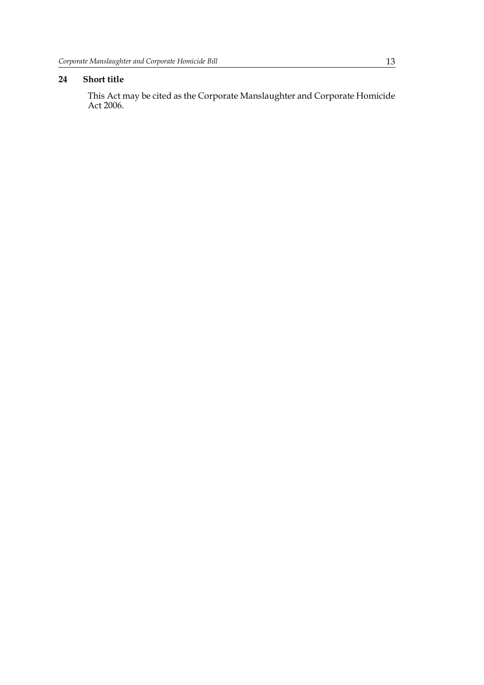#### **24 Short title**

This Act may be cited as the Corporate Manslaughter and Corporate Homicide Act 2006.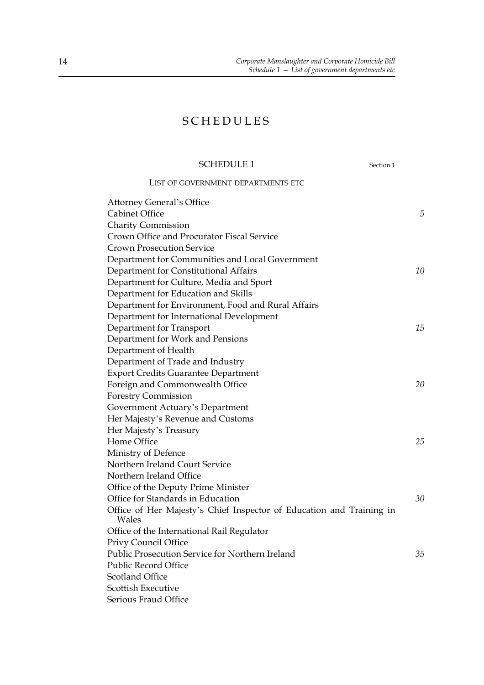### SCHEDULES

#### SCHEDULE 1

| Section 1 |  |
|-----------|--|
|           |  |

LIST OF GOVERNMENT DEPARTMENTS ETC

| <b>Attorney General's Office</b>                                              |    |
|-------------------------------------------------------------------------------|----|
| <b>Cabinet Office</b>                                                         | 5  |
| <b>Charity Commission</b>                                                     |    |
| Crown Office and Procurator Fiscal Service                                    |    |
| <b>Crown Prosecution Service</b>                                              |    |
| Department for Communities and Local Government                               |    |
| Department for Constitutional Affairs                                         | 10 |
| Department for Culture, Media and Sport                                       |    |
| Department for Education and Skills                                           |    |
| Department for Environment, Food and Rural Affairs                            |    |
| Department for International Development                                      |    |
| Department for Transport                                                      | 15 |
| Department for Work and Pensions                                              |    |
| Department of Health                                                          |    |
| Department of Trade and Industry                                              |    |
| <b>Export Credits Guarantee Department</b>                                    |    |
| Foreign and Commonwealth Office                                               | 20 |
| <b>Forestry Commission</b>                                                    |    |
| Government Actuary's Department                                               |    |
| Her Majesty's Revenue and Customs                                             |    |
| Her Majesty's Treasury                                                        |    |
| Home Office                                                                   | 25 |
| Ministry of Defence                                                           |    |
| Northern Ireland Court Service                                                |    |
| Northern Ireland Office                                                       |    |
| Office of the Deputy Prime Minister                                           |    |
| Office for Standards in Education                                             | 30 |
| Office of Her Majesty's Chief Inspector of Education and Training in<br>Wales |    |
| Office of the International Rail Regulator                                    |    |
| Privy Council Office                                                          |    |
| Public Prosecution Service for Northern Ireland                               | 35 |
| <b>Public Record Office</b>                                                   |    |
| <b>Scotland Office</b>                                                        |    |
| <b>Scottish Executive</b>                                                     |    |
| Serious Fraud Office                                                          |    |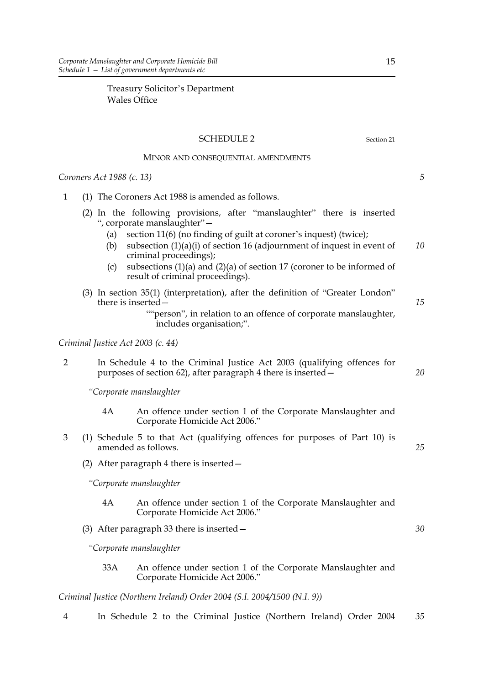Treasury Solicitor's Department Wales Office

#### SCHEDULE 2 Section 21

#### MINOR AND CONSEQUENTIAL AMENDMENTS

*Coroners Act 1988 (c. 13)*

- 1 (1) The Coroners Act 1988 is amended as follows.
	- (2) In the following provisions, after "manslaughter" there is inserted ", corporate manslaughter"—
		- (a) section 11(6) (no finding of guilt at coroner's inquest) (twice);
		- (b) subsection  $(1)(a)(i)$  of section 16 (adjournment of inquest in event of criminal proceedings); *10*
		- (c) subsections (1)(a) and (2)(a) of section 17 (coroner to be informed of result of criminal proceedings).
	- (3) In section 35(1) (interpretation), after the definition of "Greater London" there is inserted—

#### *Criminal Justice Act 2003 (c. 44)*

2 In Schedule 4 to the Criminal Justice Act 2003 (qualifying offences for purposes of section 62), after paragraph 4 there is inserted— *20*

*"Corporate manslaughter*

- 4A An offence under section 1 of the Corporate Manslaughter and Corporate Homicide Act 2006."
- 3 (1) Schedule 5 to that Act (qualifying offences for purposes of Part 10) is amended as follows.
	- (2) After paragraph 4 there is inserted—

*"Corporate manslaughter*

- 4A An offence under section 1 of the Corporate Manslaughter and Corporate Homicide Act 2006."
- (3) After paragraph 33 there is inserted—

*"Corporate manslaughter*

33A An offence under section 1 of the Corporate Manslaughter and Corporate Homicide Act 2006."

*Criminal Justice (Northern Ireland) Order 2004 (S.I. 2004/1500 (N.I. 9))*

4 In Schedule 2 to the Criminal Justice (Northern Ireland) Order 2004 *35*

*5*

*15*

*25*

<sup>&</sup>quot;"person", in relation to an offence of corporate manslaughter, includes organisation;".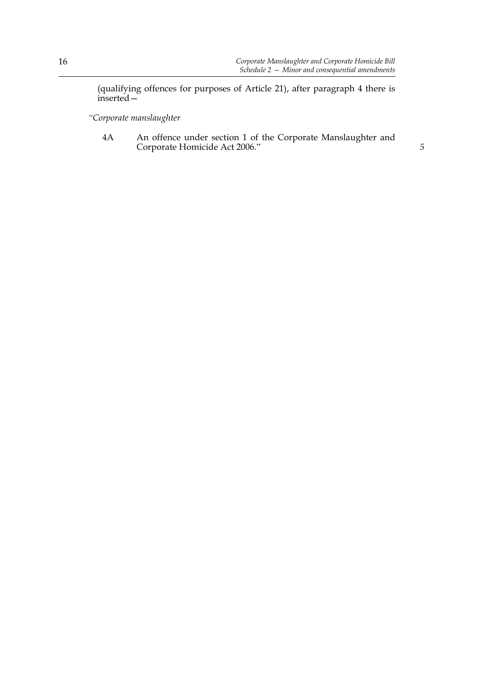(qualifying offences for purposes of Article 21), after paragraph 4 there is inserted—

*"Corporate manslaughter*

4A An offence under section 1 of the Corporate Manslaughter and Corporate Homicide Act 2006." *5*